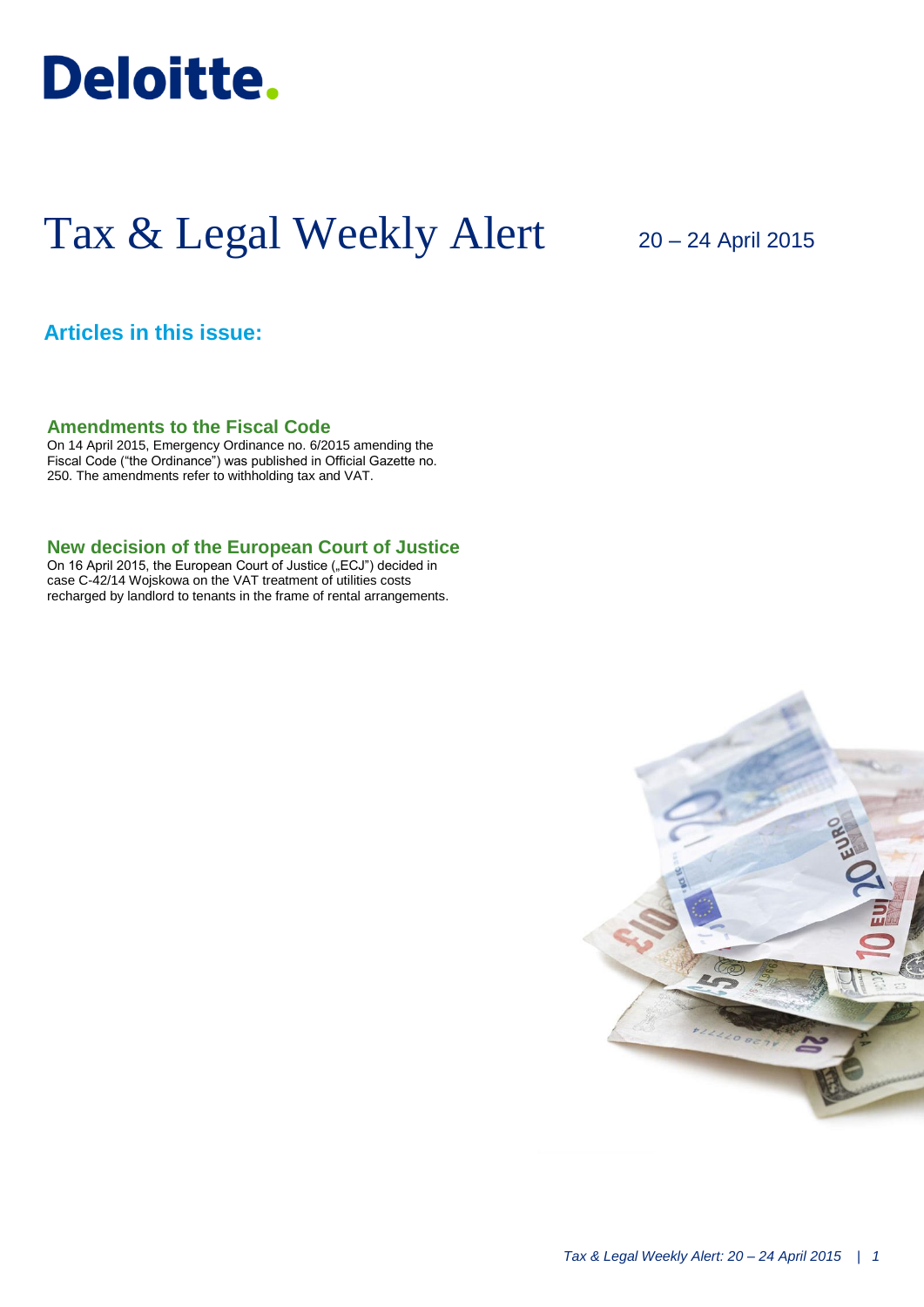

# Tax & Legal Weekly Alert

# 20 – 24 April 2015

## **Articles in this issue:**

**Amendments to the Fiscal Code**

On 14 April 2015, Emergency Ordinance no. 6/2015 amending the Fiscal Code ("the Ordinance") was published in Official Gazette no. 250. The amendments refer to withholding tax and VAT.

### **New decision of the European Court of Justice**

On 16 April 2015, the European Court of Justice ("ECJ") decided in case C-42/14 Wojskowa on the VAT treatment of utilities costs recharged by landlord to tenants in the frame of rental arrangements.

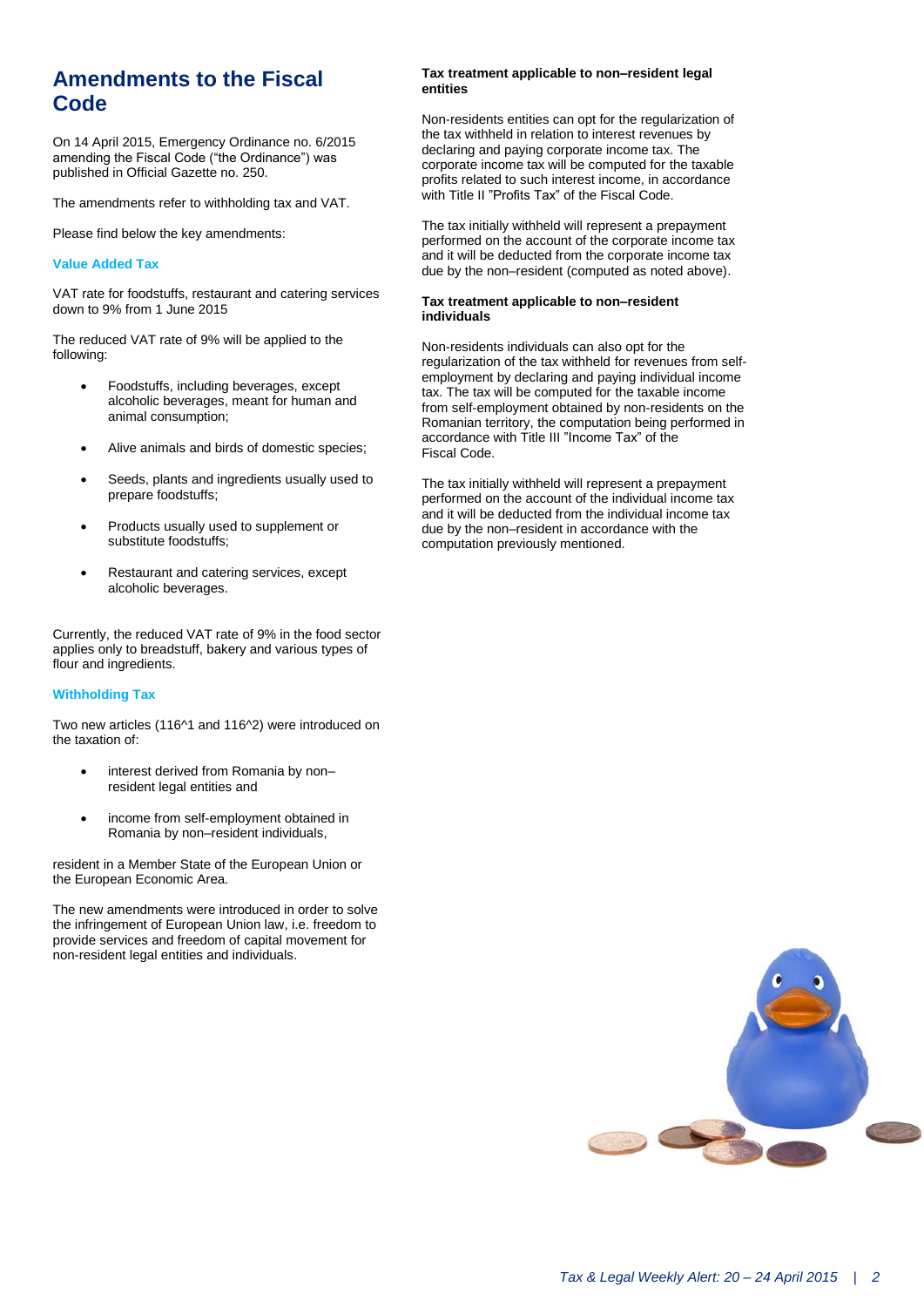# **Amendments to the Fiscal Code**

On 14 April 2015, Emergency Ordinance no. 6/2015 amending the Fiscal Code ("the Ordinance") was published in Official Gazette no. 250.

The amendments refer to withholding tax and VAT.

Please find below the key amendments:

#### **Value Added Tax**

VAT rate for foodstuffs, restaurant and catering services down to 9% from 1 June 2015

The reduced VAT rate of 9% will be applied to the following:

- Foodstuffs, including beverages, except alcoholic beverages, meant for human and animal consumption;
- Alive animals and birds of domestic species;
- Seeds, plants and ingredients usually used to prepare foodstuffs;
- Products usually used to supplement or substitute foodstuffs;
- Restaurant and catering services, except alcoholic beverages.

Currently, the reduced VAT rate of 9% in the food sector applies only to breadstuff, bakery and various types of flour and ingredients.

#### **Withholding Tax**

Two new articles (116^1 and 116^2) were introduced on the taxation of:

- interest derived from Romania by nonresident legal entities and
- income from self-employment obtained in Romania by non–resident individuals,

resident in a Member State of the European Union or the European Economic Area.

The new amendments were introduced in order to solve the infringement of European Union law, i.e. freedom to provide services and freedom of capital movement for non-resident legal entities and individuals.

#### **Tax treatment applicable to non–resident legal entities**

Non-residents entities can opt for the regularization of the tax withheld in relation to interest revenues by declaring and paying corporate income tax. The corporate income tax will be computed for the taxable profits related to such interest income, in accordance with Title II "Profits Tax" of the Fiscal Code.

The tax initially withheld will represent a prepayment performed on the account of the corporate income tax and it will be deducted from the corporate income tax due by the non–resident (computed as noted above).

#### **Tax treatment applicable to non–resident individuals**

Non-residents individuals can also opt for the regularization of the tax withheld for revenues from selfemployment by declaring and paying individual income tax. The tax will be computed for the taxable income from self-employment obtained by non-residents on the Romanian territory, the computation being performed in accordance with Title III "Income Tax" of the Fiscal Code.

The tax initially withheld will represent a prepayment performed on the account of the individual income tax and it will be deducted from the individual income tax due by the non–resident in accordance with the computation previously mentioned.

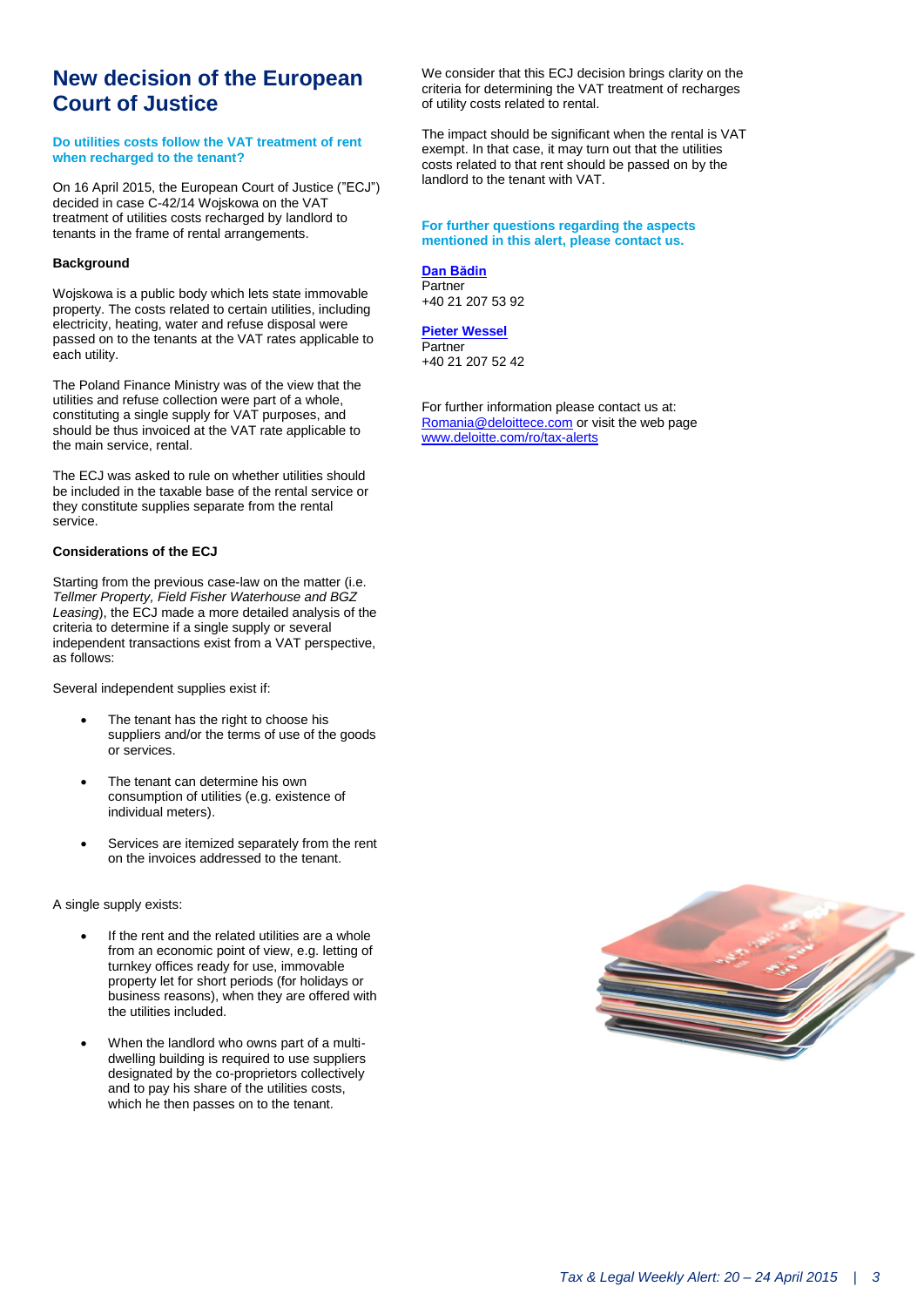# **New decision of the European Court of Justice**

#### **Do utilities costs follow the VAT treatment of rent when recharged to the tenant?**

On 16 April 2015, the European Court of Justice ("ECJ") decided in case C-42/14 Wojskowa on the VAT treatment of utilities costs recharged by landlord to tenants in the frame of rental arrangements.

#### **Background**

Wojskowa is a public body which lets state immovable property. The costs related to certain utilities, including electricity, heating, water and refuse disposal were passed on to the tenants at the VAT rates applicable to each utility.

The Poland Finance Ministry was of the view that the utilities and refuse collection were part of a whole, constituting a single supply for VAT purposes, and should be thus invoiced at the VAT rate applicable to the main service, rental.

The ECJ was asked to rule on whether utilities should be included in the taxable base of the rental service or they constitute supplies separate from the rental service.

### **Considerations of the ECJ**

Starting from the previous case-law on the matter (i.e. *Tellmer Property, Field Fisher Waterhouse and BGZ Leasing*), the ECJ made a more detailed analysis of the criteria to determine if a single supply or several independent transactions exist from a VAT perspective, as follows:

Several independent supplies exist if:

- The tenant has the right to choose his suppliers and/or the terms of use of the goods or services.
- The tenant can determine his own consumption of utilities (e.g. existence of individual meters).
- Services are itemized separately from the rent on the invoices addressed to the tenant.

A single supply exists:

- If the rent and the related utilities are a whole from an economic point of view, e.g. letting of turnkey offices ready for use, immovable property let for short periods (for holidays or business reasons), when they are offered with the utilities included.
- When the landlord who owns part of a multidwelling building is required to use suppliers designated by the co-proprietors collectively and to pay his share of the utilities costs, which he then passes on to the tenant.

We consider that this ECJ decision brings clarity on the criteria for determining the VAT treatment of recharges of utility costs related to rental.

The impact should be significant when the rental is VAT exempt. In that case, it may turn out that the utilities costs related to that rent should be passed on by the landlord to the tenant with VAT.

#### **For further questions regarding the aspects mentioned in this alert, please contact us.**

### **[Dan Bădin](mailto:dbadin@deloittece.com)**

**Partner** +40 21 207 53 92

### **[Pieter Wessel](mailto:aaparaschivei@deloittece.com)**

**Partner** +40 21 207 52 42

For further information please contact us at: [Romania@deloittece.com](mailto:Romania@deloittece.com) or visit the web page [www.deloitte.com/ro/tax-alerts](http://www2.deloitte.com/ro/ro/pages/tax/articles/tax-legal-weekly-alerts-2015.html)